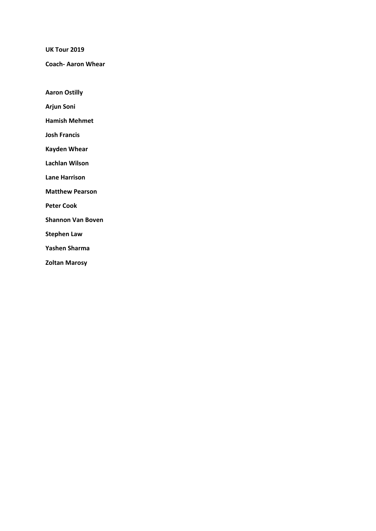**UK Tour 2019** 

**Coach‐ Aaron Whear** 

**Aaron Ostilly** 

**Arjun Soni** 

**Hamish Mehmet** 

**Josh Francis** 

**Kayden Whear** 

**Lachlan Wilson** 

**Lane Harrison** 

**Matthew Pearson** 

**Peter Cook** 

**Shannon Van Boven** 

**Stephen Law** 

**Yashen Sharma** 

**Zoltan Marosy**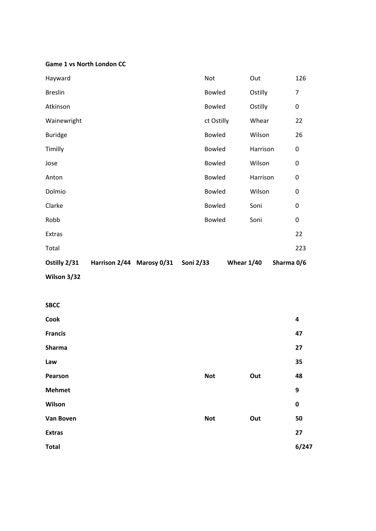#### **Game 1 vs North London CC**

| Wilson 3/32    |                           |               |              |          |            |
|----------------|---------------------------|---------------|--------------|----------|------------|
| Ostilly 2/31   | Harrison 2/44 Marosy 0/31 | Soni 2/33     | Whear $1/40$ |          | Sharma 0/6 |
| Total          |                           |               |              |          | 223        |
| Extras         |                           |               |              |          | 22         |
| Robb           |                           | <b>Bowled</b> |              | Soni     | 0          |
| Clarke         |                           | <b>Bowled</b> |              | Soni     | 0          |
| Dolmio         |                           | <b>Bowled</b> |              | Wilson   | 0          |
| Anton          |                           | <b>Bowled</b> |              | Harrison | 0          |
| Jose           |                           | <b>Bowled</b> |              | Wilson   | 0          |
| Timilly        |                           | <b>Bowled</b> |              | Harrison | 0          |
| <b>Buridge</b> |                           | <b>Bowled</b> |              | Wilson   | 26         |
| Wainewright    |                           | ct Ostilly    |              | Whear    | 22         |
| Atkinson       |                           | <b>Bowled</b> |              | Ostilly  | 0          |
| <b>Breslin</b> |                           | <b>Bowled</b> |              | Ostilly  | 7          |
| Hayward        |                           | Not           |              | Out      | 126        |

# **SBCC**

| Cook           |            |     | 4           |
|----------------|------------|-----|-------------|
|                |            |     |             |
| <b>Francis</b> |            |     | 47          |
| <b>Sharma</b>  |            |     | 27          |
| Law            |            |     | 35          |
| Pearson        | <b>Not</b> | Out | 48          |
| <b>Mehmet</b>  |            |     | 9           |
| Wilson         |            |     | $\mathbf 0$ |
| Van Boven      | <b>Not</b> | Out | 50          |
| <b>Extras</b>  |            |     | 27          |
| <b>Total</b>   |            |     | 6/247       |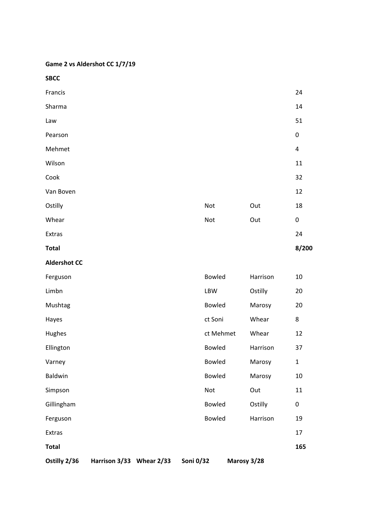**Game 2 vs Aldershot CC 1/7/19** 

**SBCC**   $\blacksquare$  Francis 24  $S$ harma  $14$  $Law$  51 Pearson **Dearson 2008** Mehmet 4  $Wilson$  and  $11$  $\mathsf{Cook}$   $32$ Van Boven 12 Ostilly **Ostilly 18** Whear **Contract Contract Contract Contract Contract Contract Contract Contract Contract Contract Contract Contract Contract Contract Contract Contract Contract Contract Contract Contract Contract Contract Contract Contract**  $\blacksquare$ Extras  $24$ **Total 8/200 Aldershot CC**  Ferguson Bowled Harrison 10 Limbn LBW Ostilly 20 Mushtag Bowled Marosy 20 Hayes ct Soni Whear 8 Hughes ct Mehmet Whear 12 Ellington Bowled Harrison 37 Varney **1** and 1 and 1 and 1 and 1 and 1 and 1 and 1 and 1 and 1 and 1 and 1 and 1 and 1 and 1 and 1 and 1 and 1 Baldwin Bowled Marosy 10 Simpson Not Out 11 Gillingham 
Bowled Ostilly 
O Ferguson Bowled Harrison 19  $\blacksquare$ Extras  $\blacksquare$ **Total 165 Ostilly 2/36 Harrison 3/33 Whear 2/33 Soni 0/32 Marosy 3/28**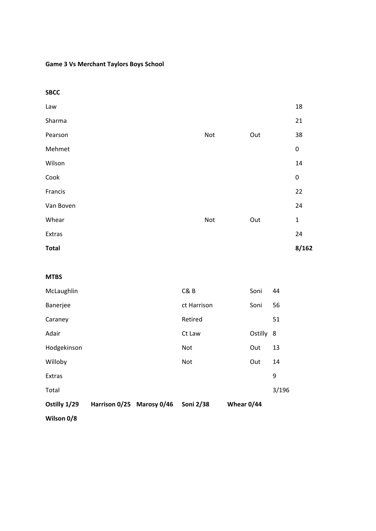## **Game 3 Vs Merchant Taylors Boys School**

| <b>SBCC</b>  |     |     |             |
|--------------|-----|-----|-------------|
| Law          |     |     | 18          |
| Sharma       |     |     | 21          |
| Pearson      | Not | Out | 38          |
| Mehmet       |     |     | $\pmb{0}$   |
| Wilson       |     |     | 14          |
| Cook         |     |     | $\pmb{0}$   |
| Francis      |     |     | 22          |
| Van Boven    |     |     | 24          |
| Whear        | Not | Out | $\mathbf 1$ |
| Extras       |     |     | 24          |
| <b>Total</b> |     |     | 8/162       |

#### **MTBS**

| Wilson 0/8   |                           |             |            |         |       |
|--------------|---------------------------|-------------|------------|---------|-------|
| Ostilly 1/29 | Harrison 0/25 Marosy 0/46 | Soni 2/38   | Whear 0/44 |         |       |
| Total        |                           |             |            |         | 3/196 |
| Extras       |                           |             |            |         | 9     |
| Willoby      |                           | Not         |            | Out     | 14    |
| Hodgekinson  |                           | Not         |            | Out     | 13    |
| Adair        |                           | Ct Law      |            | Ostilly | -8    |
| Caraney      |                           | Retired     |            |         | 51    |
| Banerjee     |                           | ct Harrison |            | Soni    | 56    |
| McLaughlin   |                           | C&B         |            | Soni    | 44    |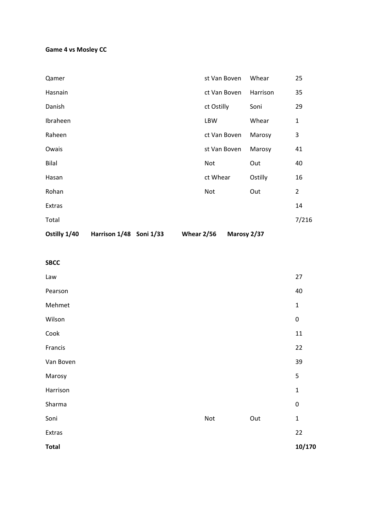## **Game 4 vs Mosley CC**

| Ostilly 1/40 | Harrison 1/48 Soni 1/33 | <b>Whear 2/56</b> |              | Marosy 2/37 |          |                |
|--------------|-------------------------|-------------------|--------------|-------------|----------|----------------|
| Total        |                         |                   |              |             |          | 7/216          |
| Extras       |                         |                   |              |             |          | 14             |
| Rohan        |                         |                   | Not          |             | Out      | $\overline{2}$ |
| Hasan        |                         |                   | ct Whear     |             | Ostilly  | 16             |
| <b>Bilal</b> |                         |                   | Not          |             | Out      | 40             |
| Owais        |                         |                   | st Van Boven |             | Marosy   | 41             |
| Raheen       |                         |                   | ct Van Boven |             | Marosy   | 3              |
| Ibraheen     |                         |                   | LBW          |             | Whear    | $\mathbf{1}$   |
| Danish       |                         |                   | ct Ostilly   |             | Soni     | 29             |
| Hasnain      |                         |                   | ct Van Boven |             | Harrison | 35             |
| Qamer        |                         |                   | st Van Boven |             | Whear    | 25             |

| Law          |     |     | 27           |
|--------------|-----|-----|--------------|
| Pearson      |     |     | 40           |
| Mehmet       |     |     | $\mathbf{1}$ |
| Wilson       |     |     | $\pmb{0}$    |
| Cook         |     |     | 11           |
| Francis      |     |     | 22           |
| Van Boven    |     |     | 39           |
| Marosy       |     |     | 5            |
| Harrison     |     |     | $\mathbf{1}$ |
| Sharma       |     |     | $\pmb{0}$    |
| Soni         | Not | Out | $\mathbf{1}$ |
| Extras       |     |     | 22           |
| <b>Total</b> |     |     | 10/170       |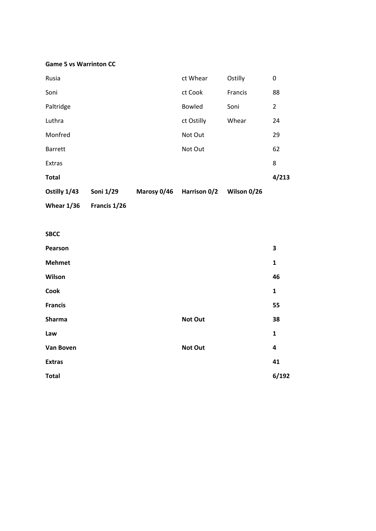#### **Game 5 vs Warrinton CC**

| Ostilly 1/43   | Soni 1/29 | Marosy 0/46 | Harrison 0/2  | Wilson 0/26 |                |
|----------------|-----------|-------------|---------------|-------------|----------------|
| <b>Total</b>   |           |             |               |             | 4/213          |
| Extras         |           |             |               |             | 8              |
| <b>Barrett</b> |           |             | Not Out       |             | 62             |
| Monfred        |           |             | Not Out       |             | 29             |
| Luthra         |           |             | ct Ostilly    | Whear       | 24             |
| Paltridge      |           |             | <b>Bowled</b> | Soni        | $\overline{2}$ |
| Soni           |           |             | ct Cook       | Francis     | 88             |
| Rusia          |           |             | ct Whear      | Ostilly     | 0              |

**Whear 1/36 Francis 1/26** 

### **SBCC**

| Pearson          |         | 3            |
|------------------|---------|--------------|
| <b>Mehmet</b>    |         | 1            |
| Wilson           |         | 46           |
| Cook             |         | $\mathbf{1}$ |
| <b>Francis</b>   |         | 55           |
| Sharma           | Not Out | 38           |
| Law              |         | $\mathbf{1}$ |
| <b>Van Boven</b> | Not Out | 4            |
| <b>Extras</b>    |         | 41           |
| <b>Total</b>     |         | 6/192        |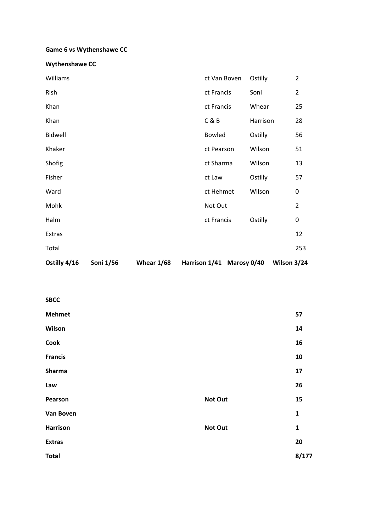## **Game 6 vs Wythenshawe CC**

| Ostilly 4/16 | Soni 1/56 | Whear $1/68$ |               | Harrison 1/41 Marosy 0/40 |          | Wilson 3/24 |                |
|--------------|-----------|--------------|---------------|---------------------------|----------|-------------|----------------|
| Total        |           |              |               |                           |          |             | 253            |
| Extras       |           |              |               |                           |          |             | 12             |
| Halm         |           |              | ct Francis    |                           | Ostilly  |             | 0              |
| Mohk         |           |              | Not Out       |                           |          |             | $\overline{2}$ |
| Ward         |           |              | ct Hehmet     |                           | Wilson   |             | 0              |
| Fisher       |           |              | ct Law        |                           | Ostilly  |             | 57             |
| Shofig       |           |              | ct Sharma     |                           | Wilson   |             | 13             |
| Khaker       |           |              | ct Pearson    |                           | Wilson   |             | 51             |
| Bidwell      |           |              | <b>Bowled</b> |                           | Ostilly  |             | 56             |
| Khan         |           |              | C&B           |                           | Harrison |             | 28             |
| Khan         |           |              | ct Francis    |                           | Whear    |             | 25             |
| Rish         |           |              | ct Francis    |                           | Soni     |             | $\overline{2}$ |
| Williams     |           |              | ct Van Boven  |                           | Ostilly  |             | $\overline{2}$ |

| <b>SBCC</b>      |         |       |
|------------------|---------|-------|
| <b>Mehmet</b>    |         | 57    |
| Wilson           |         | 14    |
| Cook             |         | 16    |
| <b>Francis</b>   |         | 10    |
| Sharma           |         | 17    |
| Law              |         | 26    |
| Pearson          | Not Out | 15    |
| <b>Van Boven</b> |         | 1     |
| <b>Harrison</b>  | Not Out | 1     |
| <b>Extras</b>    |         | 20    |
| <b>Total</b>     |         | 8/177 |
|                  |         |       |